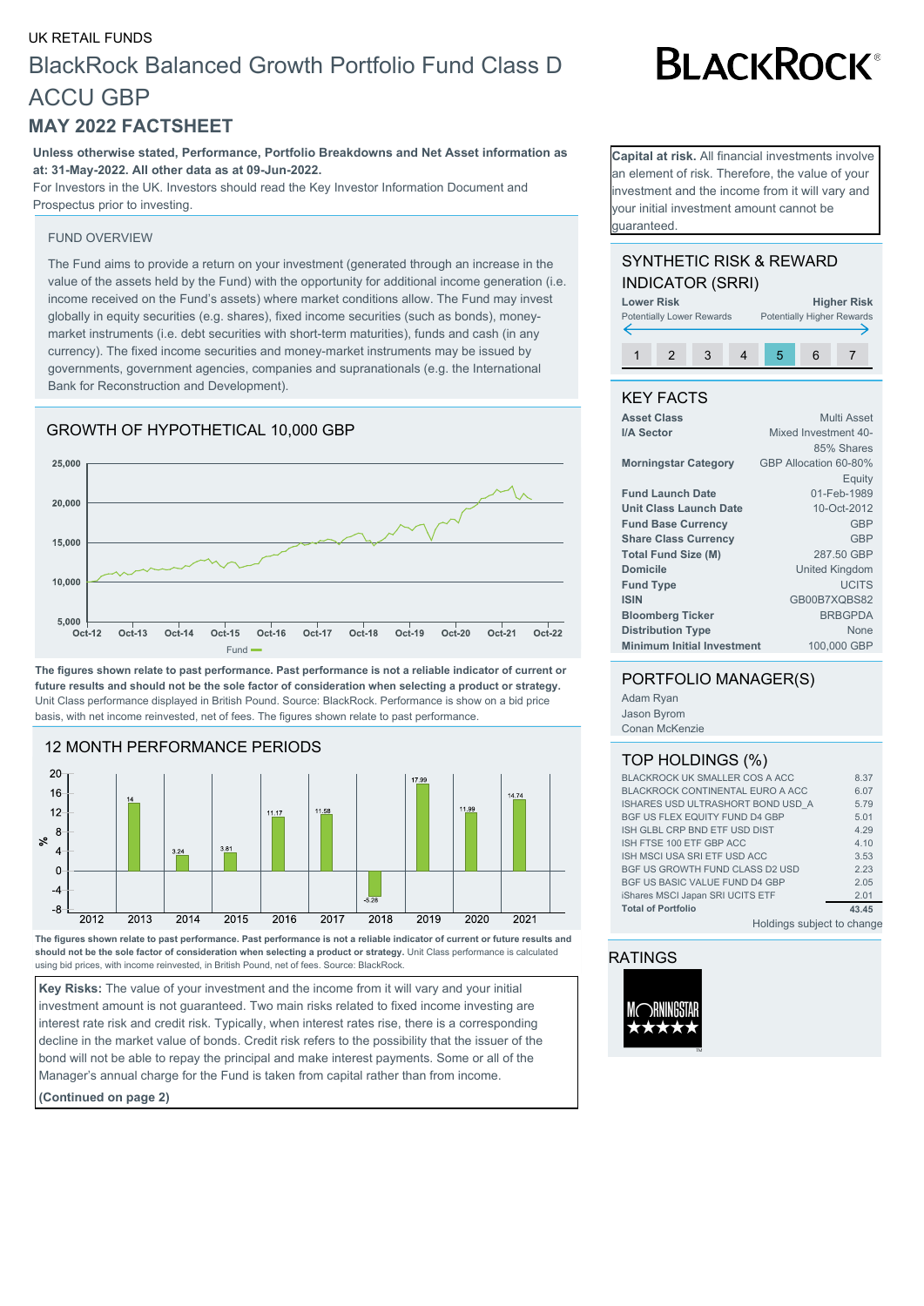# UK RETAIL FUNDS BlackRock Balanced Growth Portfolio Fund Class D ACCU GBP

## **MAY 2022 FACTSHEET**

**Unless otherwise stated, Performance, Portfolio Breakdowns and Net Asset information as at: 31-May-2022. All other data as at 09-Jun-2022.**

For Investors in the UK. Investors should read the Key Investor Information Document and Prospectus prior to investing.

#### FUND OVERVIEW

The Fund aims to provide a return on your investment (generated through an increase in the value of the assets held by the Fund) with the opportunity for additional income generation (i.e. income received on the Fund's assets) where market conditions allow. The Fund may invest globally in equity securities (e.g. shares), fixed income securities (such as bonds), moneymarket instruments (i.e. debt securities with short-term maturities), funds and cash (in any currency). The fixed income securities and money-market instruments may be issued by governments, government agencies, companies and supranationals (e.g. the International Bank for Reconstruction and Development).

### GROWTH OF HYPOTHETICAL 10,000 GBP



**The figures shown relate to past performance. Past performance is not a reliable indicator of current or future results and should not be the sole factor of consideration when selecting a product or strategy.** Unit Class performance displayed in British Pound. Source: BlackRock. Performance is show on a bid price basis, with net income reinvested, net of fees. The figures shown relate to past performance.



**The figures shown relate to past performance. Past performance is not a reliable indicator of current or future results and should not be the sole factor of consideration when selecting a product or strategy.** Unit Class performance is calculated using bid prices, with income reinvested, in British Pound, net of fees. Source: BlackRock.

**Key Risks:** The value of your investment and the income from it will vary and your initial investment amount is not guaranteed. Two main risks related to fixed income investing are interest rate risk and credit risk. Typically, when interest rates rise, there is a corresponding decline in the market value of bonds. Credit risk refers to the possibility that the issuer of the bond will not be able to repay the principal and make interest payments. Some or all of the Manager's annual charge for the Fund is taken from capital rather than from income.

**(Continued on page 2)**

**BLACKROCK®** 

**Capital at risk.** All financial investments involve an element of risk. Therefore, the value of your nvestment and the income from it will vary and your initial investment amount cannot be guaranteed.

#### SYNTHETIC RISK & REWARD INDICATOR (SRRI)



#### KEY FACTS

| <b>Asset Class</b>                | Multi Asset           |  |
|-----------------------------------|-----------------------|--|
| I/A Sector                        | Mixed Investment 40-  |  |
|                                   | 85% Shares            |  |
| <b>Morningstar Category</b>       | GBP Allocation 60-80% |  |
|                                   | Equity                |  |
| <b>Fund Launch Date</b>           | 01-Feb-1989           |  |
| Unit Class Launch Date            | 10-Oct-2012           |  |
| <b>Fund Base Currency</b>         | GBP                   |  |
| <b>Share Class Currency</b>       | <b>GBP</b>            |  |
| <b>Total Fund Size (M)</b>        | 287.50 GBP            |  |
| <b>Domicile</b>                   | <b>United Kingdom</b> |  |
| <b>Fund Type</b>                  | <b>UCITS</b>          |  |
| <b>ISIN</b>                       | GB00B7XQBS82          |  |
| <b>Bloomberg Ticker</b>           | <b>BRBGPDA</b>        |  |
| <b>Distribution Type</b>          | None                  |  |
| <b>Minimum Initial Investment</b> | 100,000 GBP           |  |

#### PORTFOLIO MANAGER(S)

Adam Ryan Jason Byrom Conan McKenzie

#### TOP HOLDINGS (%)

| BLACKROCK UK SMALLER COS A ACC          | 8.37  |
|-----------------------------------------|-------|
| <b>BLACKROCK CONTINENTAL EURO A ACC</b> | 6.07  |
| ISHARES USD ULTRASHORT BOND USD A       | 5.79  |
| BGF US FLEX EQUITY FUND D4 GBP          | 5.01  |
| ISH GLBL CRP BND ETF USD DIST           | 4.29  |
| ISH FTSE 100 ETF GBP ACC                | 4.10  |
| ISH MSCI USA SRI ETF USD ACC            | 3.53  |
| <b>BGF US GROWTH FUND CLASS D2 USD</b>  | 2.23  |
| <b>BGF US BASIC VALUE FUND D4 GBP</b>   | 2.05  |
| iShares MSCI Japan SRI UCITS ETF        | 2.01  |
| <b>Total of Portfolio</b>               | 43.45 |
| Holdings subject to change              |       |

RATINGS

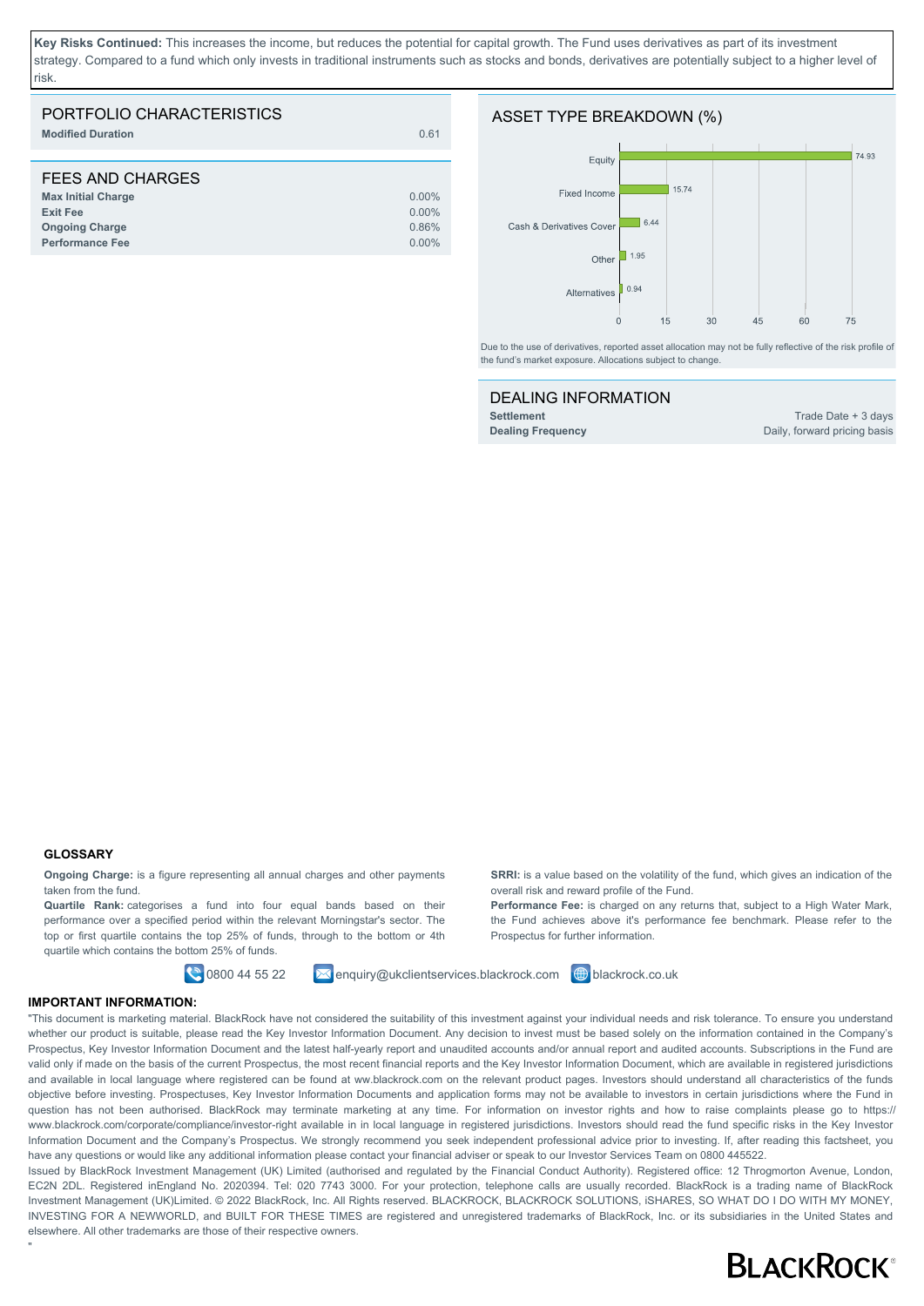**Key Risks Continued:** This increases the income, but reduces the potential for capital growth. The Fund uses derivatives as part of its investment strategy. Compared to a fund which only invests in traditional instruments such as stocks and bonds, derivatives are potentially subject to a higher level of risk.

| PORTFOLIO CHARACTERISTICS<br><b>Modified Duration</b> | 0.61     |
|-------------------------------------------------------|----------|
| FEES AND CHARGES                                      |          |
| <b>Max Initial Charge</b>                             | $0.00\%$ |
| <b>Exit Fee</b>                                       | $0.00\%$ |
| <b>Ongoing Charge</b>                                 | 0.86%    |
| <b>Performance Fee</b>                                | $0.00\%$ |

#### ASSET TYPE BREAKDOWN (%)



Due to the use of derivatives, reported asset allocation may not be fully reflective of the risk profile of the fund's market exposure. Allocations subject to change.

| <b>DEALING INFORMATION</b> |  |
|----------------------------|--|
| Settlement                 |  |
| <b>Dealing Frequency</b>   |  |

**Settlement** Trade Date + 3 days Daily, forward pricing basis

#### **GLOSSARY**

"

**Ongoing Charge:** is a figure representing all annual charges and other payments taken from the fund.

**Quartile Rank:** categorises a fund into four equal bands based on their performance over a specified period within the relevant Morningstar's sector. The top or first quartile contains the top 25% of funds, through to the bottom or 4th quartile which contains the bottom 25% of funds.

**0800 44 55 22 Enquiry@ukclientservices.blackrock.com D** blackrock.co.uk

**SRRI:** is a value based on the volatility of the fund, which gives an indication of the overall risk and reward profile of the Fund. **Performance Fee:** is charged on any returns that, subject to a High Water Mark,

the Fund achieves above it's performance fee benchmark. Please refer to the Prospectus for further information.

#### **IMPORTANT INFORMATION:**

"This document is marketing material. BlackRock have not considered the suitability of this investment against your individual needs and risk tolerance. To ensure you understand whether our product is suitable, please read the Key Investor Information Document. Any decision to invest must be based solely on the information contained in the Company's Prospectus, Key Investor Information Document and the latest half-yearly report and unaudited accounts and/or annual report and audited accounts. Subscriptions in the Fund are valid only if made on the basis of the current Prospectus, the most recent financial reports and the Key Investor Information Document, which are available in registered jurisdictions and available in local language where registered can be found at ww.blackrock.com on the relevant product pages. Investors should understand all characteristics of the funds objective before investing. Prospectuses, Key Investor Information Documents and application forms may not be available to investors in certain jurisdictions where the Fund in question has not been authorised. BlackRock may terminate marketing at any time. For information on investor rights and how to raise complaints please go to https:// www.blackrock.com/corporate/compliance/investor-right available in in local language in registered jurisdictions. Investors should read the fund specific risks in the Key Investor Information Document and the Company's Prospectus. We strongly recommend you seek independent professional advice prior to investing. If, after reading this factsheet, you have any questions or would like any additional information please contact your financial adviser or speak to our Investor Services Team on 0800 445522.

Issued by BlackRock Investment Management (UK) Limited (authorised and regulated by the Financial Conduct Authority). Registered office: 12 Throgmorton Avenue, London, EC2N 2DL. Registered inEngland No. 2020394. Tel: 020 7743 3000. For your protection, telephone calls are usually recorded. BlackRock is a trading name of BlackRock Investment Management (UK)Limited. © 2022 BlackRock, Inc. All Rights reserved. BLACKROCK, BLACKROCK SOLUTIONS, iSHARES, SO WHAT DO I DO WITH MY MONEY, INVESTING FOR A NEWWORLD, and BUILT FOR THESE TIMES are registered and unregistered trademarks of BlackRock, Inc. or its subsidiaries in the United States and elsewhere. All other trademarks are those of their respective owners.